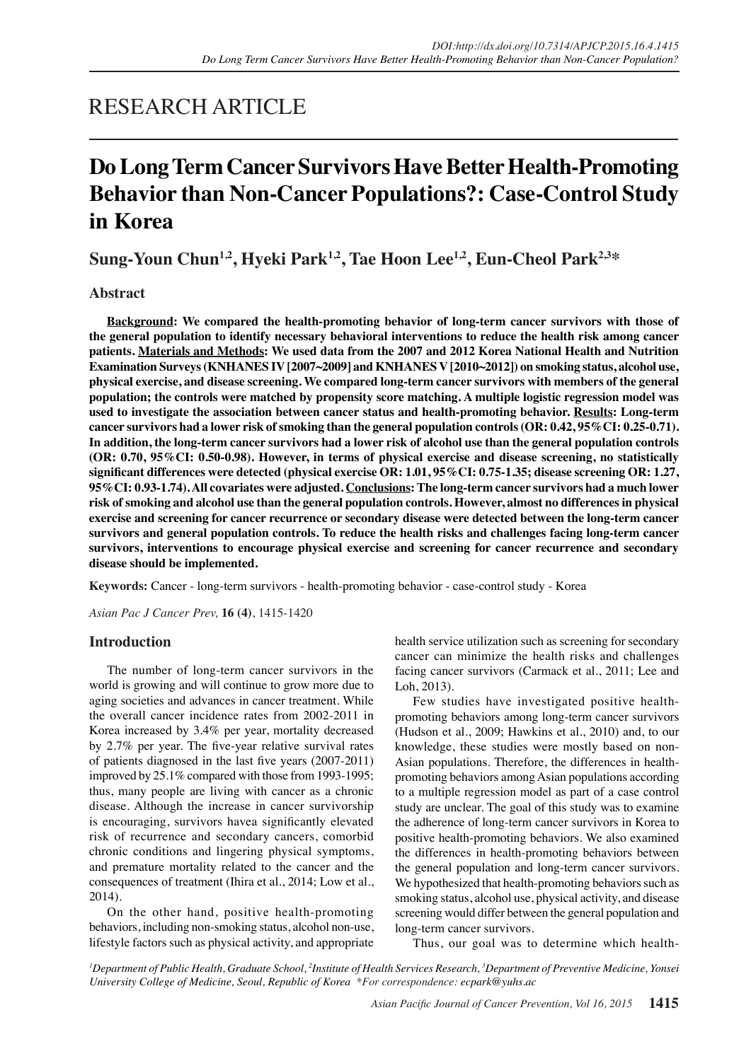# RESEARCH ARTICLE

# **Do Long Term Cancer Survivors Have Better Health-Promoting Behavior than Non-Cancer Populations?: Case-Control Study in Korea**

**Sung-Youn Chun<sup>1,2</sup>, Hyeki Park<sup>1,2</sup>, Tae Hoon Lee<sup>1,2</sup>, Eun-Cheol Park<sup>2,3\*</sup>** 

# **Abstract**

**Background: We compared the health-promoting behavior of long-term cancer survivors with those of the general population to identify necessary behavioral interventions to reduce the health risk among cancer patients. Materials and Methods: We used data from the 2007 and 2012 Korea National Health and Nutrition Examination Surveys (KNHANES IV [2007~2009] and KNHANES V [2010~2012]) on smoking status, alcohol use, physical exercise, and disease screening. We compared long-term cancer survivors with members of the general population; the controls were matched by propensity score matching. A multiple logistic regression model was used to investigate the association between cancer status and health-promoting behavior. Results: Long-term cancer survivors had a lower risk of smoking than the general population controls (OR: 0.42, 95%CI: 0.25-0.71). In addition, the long-term cancer survivors had a lower risk of alcohol use than the general population controls (OR: 0.70, 95%CI: 0.50-0.98). However, in terms of physical exercise and disease screening, no statistically significant differences were detected (physical exercise OR: 1.01, 95%CI: 0.75-1.35; disease screening OR: 1.27, 95%CI: 0.93-1.74). All covariates were adjusted. Conclusions: The long-term cancer survivors had a much lower risk of smoking and alcohol use than the general population controls. However, almost no differences in physical exercise and screening for cancer recurrence or secondary disease were detected between the long-term cancer survivors and general population controls. To reduce the health risks and challenges facing long-term cancer survivors, interventions to encourage physical exercise and screening for cancer recurrence and secondary disease should be implemented.**

**Keywords:** Cancer - long-term survivors - health-promoting behavior - case-control study - Korea

*Asian Pac J Cancer Prev,* **16 (4)**, 1415-1420

# **Introduction**

The number of long-term cancer survivors in the world is growing and will continue to grow more due to aging societies and advances in cancer treatment. While the overall cancer incidence rates from 2002-2011 in Korea increased by 3.4% per year, mortality decreased by 2.7% per year. The five-year relative survival rates of patients diagnosed in the last five years (2007-2011) improved by 25.1% compared with those from 1993-1995; thus, many people are living with cancer as a chronic disease. Although the increase in cancer survivorship is encouraging, survivors havea significantly elevated risk of recurrence and secondary cancers, comorbid chronic conditions and lingering physical symptoms, and premature mortality related to the cancer and the consequences of treatment (Ihira et al., 2014; Low et al., 2014).

On the other hand, positive health-promoting behaviors, including non-smoking status, alcohol non-use, lifestyle factors such as physical activity, and appropriate health service utilization such as screening for secondary cancer can minimize the health risks and challenges facing cancer survivors (Carmack et al., 2011; Lee and Loh, 2013).

Few studies have investigated positive healthpromoting behaviors among long-term cancer survivors (Hudson et al., 2009; Hawkins et al., 2010) and, to our knowledge, these studies were mostly based on non-Asian populations. Therefore, the differences in healthpromoting behaviors among Asian populations according to a multiple regression model as part of a case control study are unclear. The goal of this study was to examine the adherence of long-term cancer survivors in Korea to positive health-promoting behaviors. We also examined the differences in health-promoting behaviors between the general population and long-term cancer survivors. We hypothesized that health-promoting behaviors such as smoking status, alcohol use, physical activity, and disease screening would differ between the general population and long-term cancer survivors.

Thus, our goal was to determine which health-

*1 Department of Public Health, Graduate School, 2 Institute of Health Services Research, 3 Department of Preventive Medicine, Yonsei University College of Medicine, Seoul, Republic of Korea \*For correspondence: ecpark@yuhs.ac*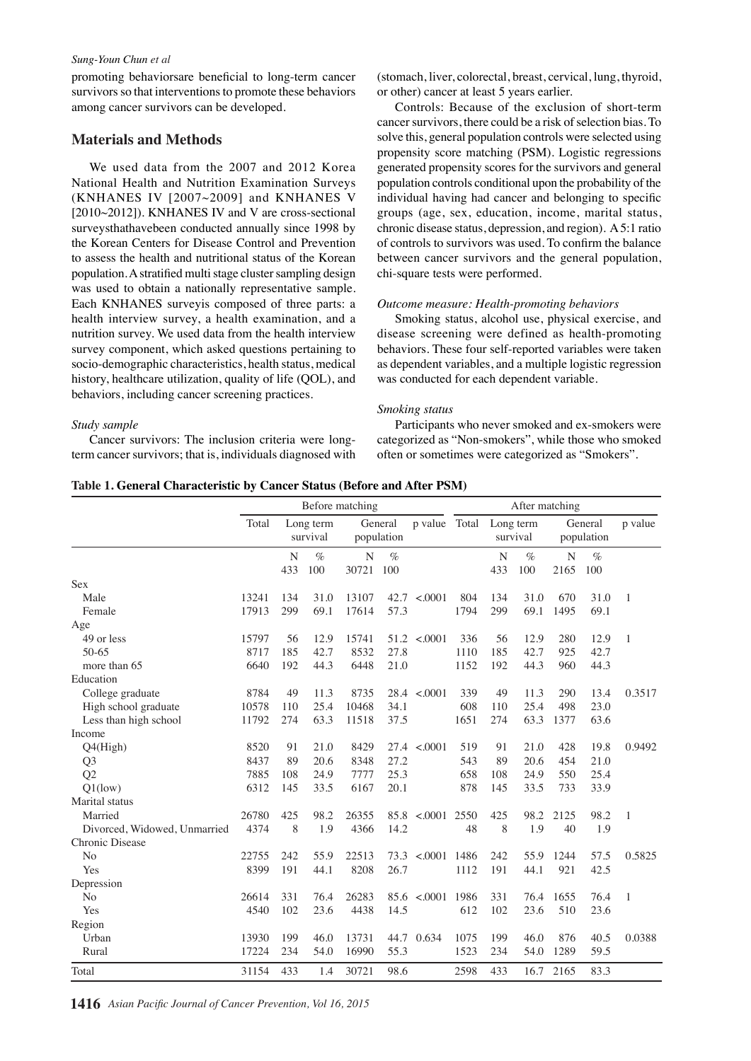#### *Sung-Youn Chun et al*

promoting behaviorsare beneficial to long-term cancer survivors so that interventions to promote these behaviors among cancer survivors can be developed.

## **Materials and Methods**

We used data from the 2007 and 2012 Korea National Health and Nutrition Examination Surveys (KNHANES IV [2007~2009] and KNHANES V [2010~2012]). KNHANES IV and V are cross-sectional surveysthathavebeen conducted annually since 1998 by the Korean Centers for Disease Control and Prevention to assess the health and nutritional status of the Korean population. A stratified multi stage cluster sampling design was used to obtain a nationally representative sample. Each KNHANES surveyis composed of three parts: a health interview survey, a health examination, and a nutrition survey. We used data from the health interview survey component, which asked questions pertaining to socio-demographic characteristics, health status, medical history, healthcare utilization, quality of life (QOL), and behaviors, including cancer screening practices.

#### *Study sample*

Cancer survivors: The inclusion criteria were longterm cancer survivors; that is, individuals diagnosed with

(stomach, liver, colorectal, breast, cervical, lung, thyroid, or other) cancer at least 5 years earlier.

Controls: Because of the exclusion of short-term cancer survivors, there could be a risk of selection bias. To solve this, general population controls were selected using propensity score matching (PSM). Logistic regressions generated propensity scores for the survivors and general population controls conditional upon the probability of the individual having had cancer and belonging to specific groups (age, sex, education, income, marital status, chronic disease status, depression, and region). A 5:1 ratio of controls to survivors was used. To confirm the balance between cancer survivors and the general population, chi-square tests were performed.

#### *Outcome measure: Health-promoting behaviors*

Smoking status, alcohol use, physical exercise, and disease screening were defined as health-promoting behaviors. These four self-reported variables were taken as dependent variables, and a multiple logistic regression was conducted for each dependent variable.

#### *Smoking status*

Participants who never smoked and ex-smokers were categorized as "Non-smokers", while those who smoked often or sometimes were categorized as "Smokers".

|  | Table 1. General Characteristic by Cancer Status (Before and After PSM) |  |  |  |
|--|-------------------------------------------------------------------------|--|--|--|
|  |                                                                         |  |  |  |

|                              |       |          |                       | Before matching       |      |                         |                                       |            | After matching             |           |                           |                |      |
|------------------------------|-------|----------|-----------------------|-----------------------|------|-------------------------|---------------------------------------|------------|----------------------------|-----------|---------------------------|----------------|------|
|                              | Total |          | Long term<br>survival | General<br>population |      | p value Total           |                                       | Long term  | survival                   |           | General<br>population     | p value        |      |
|                              |       | N<br>433 | $\%$<br>100           | N<br>30721 100        | $\%$ |                         |                                       | N<br>433   | $\%$<br>100                | N<br>2165 | $\%$<br>100               |                |      |
| <b>Sex</b>                   |       |          |                       |                       |      |                         |                                       |            |                            |           |                           |                |      |
| Male                         | 13241 | 134      | 31.0                  | 13107                 | 42.7 | < .0001                 | 804                                   | 134        | 31.0                       | 670       | 31.0                      | $\mathbf{1}$   |      |
| Female                       | 17913 | 299      | 69.1                  | 17614                 | 57.3 |                         | 1794                                  | 299        | 69.1                       | 1495      | 69.1                      |                |      |
| Age                          |       |          |                       |                       |      |                         |                                       |            |                            |           |                           |                |      |
| 49 or less                   | 15797 | 56       | 12.9                  | 150010                |      | $51.2 \le 0.0001$       | 336                                   | 56         | 12.9                       | 280       | 12.9                      | 1              |      |
| 50-65                        | 8717  | 185      | 42.7                  | 8532                  | 27.8 | 6.3                     | $\frac{1110}{152}$ .1                 | 185        | 42.7                       | 925       | 42.7                      |                |      |
| more than 65                 | 6640  | 192      | 44.3                  | 6448                  | 21.0 |                         |                                       | 192        | 20.3                       | 960       | 44.3                      |                |      |
| Education                    |       |          |                       |                       |      |                         |                                       |            |                            |           |                           |                |      |
| College graduate             | 8784  | 49       | 11.3                  | 87550                 | 28.4 | &000.                   | 339                                   | 49         | 11.3                       |           | $290$ <sup>25.0</sup> 3.4 | 0.3517         | 30.0 |
| High school graduate         | 10578 | 110      | 25.4                  | 10468                 | 34.1 |                         | 608                                   | 110        | 25.4                       | 498       | 23.0                      |                |      |
| Less than high school        | 11792 | 274      | 63.3                  | 11518                 | 37.5 | 56.3                    | 16396.8274                            |            | 63.3                       | 1377      | 63.6                      |                |      |
| Income                       |       |          |                       |                       |      |                         |                                       |            |                            |           |                           |                |      |
| Q4(High)                     | 8520  | 91       | 21.0                  | 8490                  | 27.4 | < 000                   | 519                                   | 91         | 54.2                       |           | 4281.39.8                 | 0.9492         | 30.0 |
| Q <sub>3</sub>               | 8437  | 89       | 20.6                  | 8348                  | 27.2 |                         | 543                                   | 89         | 20.6                       | 454       | 21<br>$\Omega$            |                |      |
| Q2                           | 7885  | 108      | 24.9                  | 7777                  | 25.3 |                         | 658                                   | <b>108</b> | 24.9                       | 550       | 25.4                      |                |      |
| $Q1$ (low)                   | 6312  | 145      | 33.5                  | \$45.0                | 20.1 |                         | 878                                   | 145        | 33.5                       | 733       | 33.9                      |                |      |
| Marital status               |       |          |                       |                       |      |                         | 38.0                                  |            |                            |           |                           |                |      |
| Married                      | 26780 | 425      | 98.2                  | 26355                 | 85.8 | 3.000                   | 2550                                  | 425        |                            |           | 21231.38.2                | $\mathbf{1}$   | 30.0 |
| Divorced, Widowed, Unmarried | 4374  | 8        | 1.9                   | 4366                  | 14.2 |                         | 48                                    | 8          | 23.7                       | 40        | 9.                        |                |      |
| Chronic Disease              |       |          |                       | 0                     |      |                         |                                       |            |                            |           |                           |                |      |
| N <sub>o</sub>               | 22755 | 242      | 55.9                  | 22513                 | 73.3 |                         |                                       |            |                            | 1244      |                           | 0.5825         |      |
| Yes                          | 8399  | 191      | 44.1                  | 8208                  | 26.7 |                         | $\frac{1486}{11126}$ $\frac{242}{91}$ |            |                            | 921       | $\frac{5}{8}$ 42.5        |                | None |
| Depression                   |       |          |                       |                       |      | $\leq$ 0.001<br>defined |                                       |            | $55.9$<br>$46.1$<br>$76.4$ |           |                           |                |      |
| N <sub>o</sub>               | 26614 | 331      | 76.4                  | 26283                 | 85.6 | $\leq \frac{1}{20}$ 01  | $1986\overline{\frac{1}{2}}$          | 331        |                            |           | $1655 \frac{1}{2}76.4$    | $\overline{1}$ |      |
| Yes                          | 4540  | 102      | 23.6                  | 4438                  | 14.5 | $\overline{a}$          | $612 \underline{5}$                   | 102        | 28.6                       | 510       | 23.6                      |                |      |
| Region                       |       |          |                       |                       |      | ₽                       |                                       |            |                            |           |                           |                |      |
| Urban                        | 13930 | 199      | 46.0                  | 13731                 | 44.7 | $0.\bar{8}34$           | $1075\frac{1}{10}$                    | 199        | $4\frac{8}{90}$            | 876       | 40.5                      | 0.0388         |      |
| Rural                        | 17224 | 234      | 54.0                  | 16990                 | 55.3 | ed<br>Sed               | $1523\frac{8}{5}$ 234                 |            | $5\frac{1}{90}$ .0         | 1289      | 59.5                      |                |      |
|                              | 31154 | 433      | 1.4                   | 30721                 | 98.6 | dipandip                | $2598\overline{6}$ 433                |            | 16.7                       | 2165      | 83.3                      |                |      |

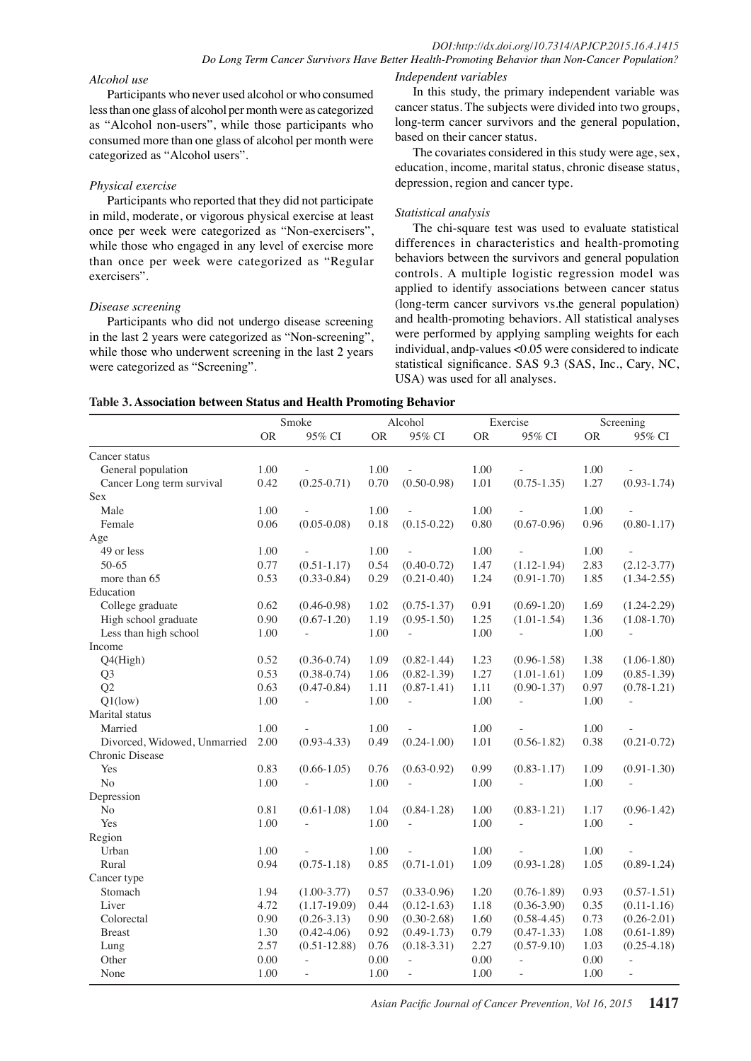## *DOI:http://dx.doi.org/10.7314/APJCP.2015.16.4.1415 Do Long Term Cancer Survivors Have Better Health-Promoting Behavior than Non-Cancer Population? Independent variables*

#### *Alcohol use*

Participants who never used alcohol or who consumed less than one glass of alcohol per month were as categorized as "Alcohol non-users", while those participants who consumed more than one glass of alcohol per month were categorized as "Alcohol users".

#### *Physical exercise*

Participants who reported that they did not participate in mild, moderate, or vigorous physical exercise at least once per week were categorized as "Non-exercisers", while those who engaged in any level of exercise more than once per week were categorized as "Regular exercisers".

#### *Disease screening*

Participants who did not undergo disease screening in the last 2 years were categorized as "Non-screening", while those who underwent screening in the last 2 years were categorized as "Screening".

In this study, the primary independent variable was cancer status. The subjects were divided into two groups, long-term cancer survivors and the general population, based on their cancer status.

The covariates considered in this study were age, sex, education, income, marital status, chronic disease status, depression, region and cancer type.

#### *Statistical analysis*

The chi-square test was used to evaluate statistical differences in characteristics and health-promoting behaviors between the survivors and general population controls. A multiple logistic regression model was applied to identify associations between cancer status (long-term cancer survivors vs.the general population) and health-promoting behaviors. All statistical analyses were performed by applying sampling weights for each individual, andp-values <0.05 were considered to indicate statistical significance. SAS 9.3 (SAS, Inc., Cary, NC, USA) was used for all analyses.

| Table 3. Association between Status and Health Promoting Behavior |
|-------------------------------------------------------------------|
|-------------------------------------------------------------------|

|                              |           | Smoke            |           | Alcohol         |           | Exercise        |           | Screening       |
|------------------------------|-----------|------------------|-----------|-----------------|-----------|-----------------|-----------|-----------------|
|                              | <b>OR</b> | 95% CI           | <b>OR</b> | 95% CI          | <b>OR</b> | 95% CI          | <b>OR</b> | 95% CI          |
| Cancer status                |           |                  |           |                 |           |                 |           |                 |
| General population           | 1.00      |                  | 1.00      |                 | 1.00      |                 | 1.00      |                 |
| Cancer Long term survival    | 0.42      | $(0.25 - 0.71)$  | 0.70      | $(0.50 - 0.98)$ | 1.01      | $(0.75 - 1.35)$ | 1.27      | $(0.93 - 1.74)$ |
| Sex                          |           |                  |           |                 |           |                 |           |                 |
| Male                         | 1.00      |                  | 1.00      |                 | 1.00      |                 | 1.00      |                 |
| Female                       | 0.06      | $(0.05 - 0.08)$  | 0.18      | $(0.15 - 0.22)$ | 0.80      | $(0.67 - 0.96)$ | 0.96      | $(0.80 - 1.17)$ |
| Age                          |           |                  |           |                 |           |                 |           |                 |
| 49 or less                   | 1.00      |                  | 1.00      |                 | 1.00      |                 | 1.00      |                 |
| 50-65                        | 0.77      | $(0.51 - 1.17)$  | 0.54      | $(0.40 - 0.72)$ | 1.47      | $(1.12 - 1.94)$ | 2.83      | $(2.12 - 3.77)$ |
| more than 65                 | 0.53      | $(0.33 - 0.84)$  | 0.29      | $(0.21 - 0.40)$ | 1.24      | $(0.91 - 1.70)$ | 1.85      | $(1.34 - 2.55)$ |
| Education                    |           |                  |           |                 |           |                 |           |                 |
| College graduate             | 0.62      | $(0.46 - 0.98)$  | 1.02      | $(0.75 - 1.37)$ | 0.91      | $(0.69 - 1.20)$ | 1.69      | $(1.24 - 2.29)$ |
| High school graduate         | 0.90      | $(0.67 - 1.20)$  | 1.19      | $(0.95 - 1.50)$ | 1.25      | $(1.01 - 1.54)$ | 1.36      | $(1.08-1.70)$   |
| Less than high school        | 1.00      | ÷,               | 1.00      | $\overline{a}$  | 1.00      | $\sim$          | 1.00      | $\sim$          |
| Income                       |           |                  |           |                 |           |                 |           |                 |
| Q4(High)                     | 0.52      | $(0.36 - 0.74)$  | 1.09      | $(0.82 - 1.44)$ | 1.23      | $(0.96 - 1.58)$ | 1.38      | $(1.06-1.80)$   |
| Q <sub>3</sub>               | 0.53      | $(0.38 - 0.74)$  | 1.06      | $(0.82 - 1.39)$ | 1.27      | $(1.01 - 1.61)$ | 1.09      | $(0.85 - 1.39)$ |
| Q2                           | 0.63      | $(0.47 - 0.84)$  | 1.11      | $(0.87 - 1.41)$ | 1.11      | $(0.90 - 1.37)$ | 0.97      | $(0.78 - 1.21)$ |
| $Q1$ (low)                   | 1.00      | ä,               | 1.00      | $\overline{a}$  | 1.00      |                 | 1.00      |                 |
| Marital status               |           |                  |           |                 |           |                 |           |                 |
| Married                      | 1.00      |                  | 1.00      |                 | 1.00      |                 | 1.00      |                 |
| Divorced, Widowed, Unmarried | 2.00      | $(0.93 - 4.33)$  | 0.49      | $(0.24 - 1.00)$ | 1.01      | $(0.56 - 1.82)$ | 0.38      | $(0.21 - 0.72)$ |
| Chronic Disease              |           |                  |           |                 |           |                 |           |                 |
| Yes                          | 0.83      | $(0.66 - 1.05)$  | 0.76      | $(0.63 - 0.92)$ | 0.99      | $(0.83 - 1.17)$ | 1.09      | $(0.91 - 1.30)$ |
| No                           | 1.00      |                  | 1.00      | ä,              | 1.00      |                 | 1.00      |                 |
| Depression                   |           |                  |           |                 |           |                 |           |                 |
| N <sub>o</sub>               | 0.81      | $(0.61 - 1.08)$  | 1.04      | $(0.84 - 1.28)$ | 1.00      | $(0.83 - 1.21)$ | 1.17      | $(0.96 - 1.42)$ |
| Yes                          | 1.00      |                  | 1.00      | L.              | 1.00      |                 | 1.00      |                 |
| Region                       |           |                  |           |                 |           |                 |           |                 |
| Urban                        | 1.00      |                  | 1.00      |                 | 1.00      |                 | 1.00      |                 |
| Rural                        | 0.94      | $(0.75 - 1.18)$  | 0.85      | $(0.71 - 1.01)$ | 1.09      | $(0.93 - 1.28)$ | 1.05      | $(0.89 - 1.24)$ |
| Cancer type                  |           |                  |           |                 |           |                 |           |                 |
| Stomach                      | 1.94      | $(1.00 - 3.77)$  | 0.57      | $(0.33 - 0.96)$ | 1.20      | $(0.76 - 1.89)$ | 0.93      | $(0.57 - 1.51)$ |
| Liver                        | 4.72      | $(1.17-19.09)$   | 0.44      | $(0.12 - 1.63)$ | 1.18      | $(0.36 - 3.90)$ | 0.35      | $(0.11-1.16)$   |
| Colorectal                   | 0.90      | $(0.26 - 3.13)$  | 0.90      | $(0.30-2.68)$   | 1.60      | $(0.58 - 4.45)$ | 0.73      | $(0.26 - 2.01)$ |
| <b>Breast</b>                | 1.30      | $(0.42 - 4.06)$  | 0.92      | $(0.49 - 1.73)$ | 0.79      | $(0.47 - 1.33)$ | 1.08      | $(0.61 - 1.89)$ |
| Lung                         | 2.57      | $(0.51 - 12.88)$ | 0.76      | $(0.18 - 3.31)$ | 2.27      | $(0.57 - 9.10)$ | 1.03      | $(0.25 - 4.18)$ |
| Other                        | 0.00      |                  | 0.00      | $\overline{a}$  | 0.00      |                 | 0.00      |                 |
| None                         | 1.00      | $\overline{a}$   | 1.00      | $\overline{a}$  | 1.00      | $\overline{a}$  | 1.00      | $\frac{1}{2}$   |

*Asian Pacific Journal of Cancer Prevention, Vol 16, 2015* **1417**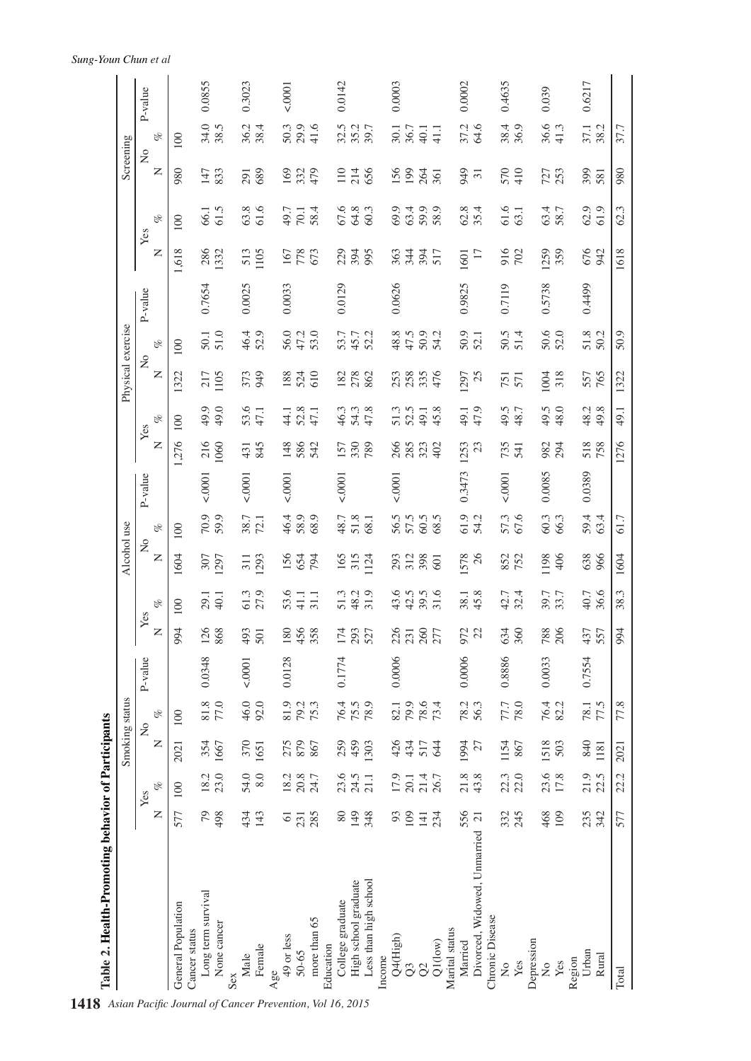|                                              |                 |                      |                   | Smoking status                              |         |                   |                      | Alcohol use                     |               |         |              |                      |                                             | Physical exercise |         |                 |                      | Screening          |              |         |
|----------------------------------------------|-----------------|----------------------|-------------------|---------------------------------------------|---------|-------------------|----------------------|---------------------------------|---------------|---------|--------------|----------------------|---------------------------------------------|-------------------|---------|-----------------|----------------------|--------------------|--------------|---------|
|                                              | Z               | $\mathcal{C}$<br>Yes | $\mathsf{z}$      | $\mathscr{C}$<br>$\mathsf{S}^{\mathsf{O}}$  | P-value | $\overline{z}$    | $\mathcal{C}$<br>Yes | $\frac{1}{2}$<br>$\overline{z}$ | $\mathscr{B}$ | P-value | $\mathsf{z}$ | $\mathcal{C}$<br>Yes | $\mathop{\mathcal{Z}_{}}$<br>$\overline{z}$ | $\mathscr{B}$     | P-value | $\mathsf{z}$    | $\mathscr{C}$<br>Yes | $\frac{1}{2}$<br>Z | oz.          | P-value |
| General Population                           | 577             | 100                  | 2021              | 100                                         |         | 994               | 100                  | 1604                            | 100           |         | 276          | 100                  | 1322                                        | 100               |         | 1,618           | 100                  | 980                | 100          |         |
| Long term survival<br>Cancer status          | 54              | 18.2                 | 354               | $\begin{array}{c} 81.8 \\ 77.0 \end{array}$ | 0.0348  | <b>126</b><br>868 | 29.1                 | 307                             | 70.9          | 10001   | 216          | 49.9                 | 217                                         | $50.1$<br>$51.0$  | 0.7654  | 286<br>1332     | 66.1                 | 147                | 34.0<br>38.5 | 0.0855  |
| None cancer<br>Sex                           | 498             | 23.0                 | 1667              |                                             |         |                   | 40.1                 | 1297                            |               |         | 1060         | 49.0                 | 1105                                        |                   |         |                 | 61.5                 | 833                |              |         |
| Male                                         | 434             | 54.0                 | 370               | 46.0                                        | 10001   | 493<br>501        | 61.3                 | 311<br>1293                     | 72.1          | 10001   | 431          | 53.6<br>47.1         | 373                                         | 46.4<br>52.9      | 0.0025  | 513             | 63.8                 | 291                | 36.2         | 0.3023  |
| Female<br>Age                                | 143             | 8.0                  | 1651              | 92.0                                        |         |                   |                      |                                 |               |         | 845          |                      |                                             |                   |         | 1105            | 61.6                 | 689                | 38.4         |         |
| 49 or less                                   | $\overline{6}$  |                      |                   |                                             | 0.0128  |                   | 53.6                 | 156                             |               | 50001   | 148          | 44.1                 | 188                                         |                   | 0.0033  | 167             | 49.7                 | 169                | 50.3         | 10001   |
| 50-65                                        | 231             | 18.3<br>20.3<br>24.7 | 275<br>879<br>867 | 81.9<br>79.2<br>75.3                        |         | 180<br>456<br>358 | $41.1\,$             | 654<br>794                      | 46.4<br>58.9  |         | 586          | 52.8<br>47.1         | 524<br>610                                  | 56.0<br>47.2      |         | 778             | 70.1                 | $332$<br>479       | 29.9         |         |
| more than 65                                 |                 |                      |                   |                                             |         |                   | 31.1                 |                                 | 68.9          |         | 542          |                      |                                             | 53.0              |         | 673             | 58.4                 |                    | 41.6         |         |
| Education                                    |                 |                      |                   |                                             |         |                   |                      |                                 |               |         |              |                      |                                             |                   |         |                 |                      |                    |              |         |
| College graduate                             | 80              | 23.6                 | 259<br>459        |                                             | 0.1774  | 174               | 51.3                 | 165                             | 48.7          | 10001   | 157          | 46.3                 | 182                                         | 53.7              | 0.0129  | 229             | 67.6                 |                    | 32.5         | 0.0142  |
| High school graduate                         | 149             | 24.5                 |                   | 76.4<br>75.5<br>78.9                        |         | 293<br>527        | 48.2<br>31.9         | $315$<br>1124                   | 51.8          |         | 330<br>789   | 54.3<br>47.8         | 278<br>862                                  | 45.7<br>52.2      |         | 394<br>995      | 64.8                 | 110<br>214<br>656  | 35.2         |         |
| Less than high school                        | 348             | 21.1                 | 1303              |                                             |         |                   |                      |                                 | 68.1          |         |              |                      |                                             |                   |         |                 | 60.3                 |                    |              |         |
| Income                                       |                 |                      |                   |                                             |         |                   |                      |                                 |               |         |              |                      |                                             |                   |         |                 |                      |                    |              |         |
| Q4(High)                                     | 93              | 17.9                 | 434               |                                             | 0.0006  | 226               | $43.5$<br>$42.5$     | 293                             | 56.5          | 10001   | 266          | 51.3                 | 253                                         | $48.8$<br>47.5    | 0.0626  | 363             | 69.9                 | 156                | 30.1         | 0.0003  |
| $\infty$                                     | 109             | 20.1                 |                   | 82.1<br>79.9<br>73.4                        |         |                   |                      | 312                             | 57.5          |         | 285          |                      | 258                                         |                   |         | 344             | 63.4                 |                    | 36.7         |         |
| $\infty$                                     | $\frac{14}{23}$ | 21.4                 | 517               |                                             |         | 260<br>277        | $39.5$<br>31.6       |                                 | $60.5$        |         | 323          | 49.1                 | 335                                         | 50.9              |         | 394<br>517      | 59.9                 | $rac{26}{361}$     | 40.1         |         |
| $Q1$ (low)                                   |                 |                      | $\mathfrak{A}$    |                                             |         |                   |                      | 601                             | 68.5          |         |              | 45.8                 | 476                                         | 54.2              |         |                 | 58.9                 |                    | 41.1         |         |
| Marital status                               |                 |                      |                   |                                             |         |                   |                      |                                 |               |         |              |                      |                                             |                   |         |                 |                      |                    |              |         |
| Married                                      | 556             | $21.8\,$             | 1994              | 78.3                                        | 0.0006  | 972               | 38.1<br>45.8         | 1578                            | 61.9          | 0.3473  | 1253         | 49.1                 | 1297                                        | 50.9              | 0.9825  | 1601            | 62.8                 | 949                | 37.2         | 0.0002  |
| Divorced, Widowed, Unnarried 21              |                 | 43.8                 | 27                |                                             |         |                   |                      | 26                              | 54.2          |         | 23           | 47.9                 | 25                                          |                   |         | $\overline{17}$ | 35.4                 | $\overline{31}$    | 64.6         |         |
| Chronic Disease<br>$\mathsf{S}^{\mathsf{O}}$ |                 | 22.3                 | 1154              |                                             | 0.8886  |                   |                      | 852                             |               | 50001   |              | 49.5                 | 751                                         |                   | 0.7119  |                 | 61.6                 |                    |              | 0.4635  |
| Yes                                          | 332<br>245      | 22.0                 | 867               | 77.7<br>78.0                                |         | 634<br>360        | 42.7<br>32.4         | 752                             | 57.3          |         | 735<br>541   | 48.7                 | 571                                         | $50.5$<br>$51.4$  |         | 916             | 63.1                 | 570<br>410         | 38.4<br>36.9 |         |
| Depression                                   |                 |                      |                   |                                             |         |                   |                      |                                 |               |         |              |                      |                                             |                   |         |                 |                      |                    |              |         |
| $\frac{1}{2}$                                | 468             | 23.6                 | 1518              | 76.4                                        | 0.0033  |                   | 39.7                 | 1198                            | 60.3          | 0.0085  | 982          | 49.5                 | 1004                                        |                   | 0.5738  | 1259            |                      |                    | 36.6         | 0.039   |
| Yes                                          | 109             | 17.8                 | 503               | 82.2                                        |         | 788<br>206        | 33.7                 | 406                             | 66.3          |         | 294          | 48.0                 | 318                                         | 50.6              |         | 359             | 63.7                 | 727<br>253         | 41.3         |         |
| Region                                       |                 |                      |                   |                                             |         |                   |                      |                                 |               |         |              |                      |                                             |                   |         |                 |                      |                    |              |         |
| Urban                                        | 235<br>342      | 21.9                 | 840               | 78.1<br>17.5                                | 0.7554  | 437<br>557        | 40.7                 | 638<br>966                      | 59.4<br>63.4  | 0.0389  | 518          | $48.2$<br>$49.8$     | 557<br>765                                  | 51.8              | 0.4499  | 676<br>942      | 62.9                 | 399                | 37.1<br>38.2 | 0.6217  |
| Rural                                        |                 | 22.5                 | 1181              |                                             |         |                   | 36.6                 |                                 |               |         |              |                      |                                             |                   |         |                 | 61.9                 |                    |              |         |
| Total                                        | 577             | 22.2                 | 2021              | 77.8                                        |         | 994               | 38.3                 | 1604                            | 61.7          |         | 1276         | 49.1                 | 1322                                        | 50.9              |         | 1618            | 62.3                 | 980                | 37.7         |         |
|                                              |                 |                      |                   |                                             |         |                   |                      |                                 |               |         |              |                      |                                             |                   |         |                 |                      |                    |              |         |

# *Sung-Youn Chun et al*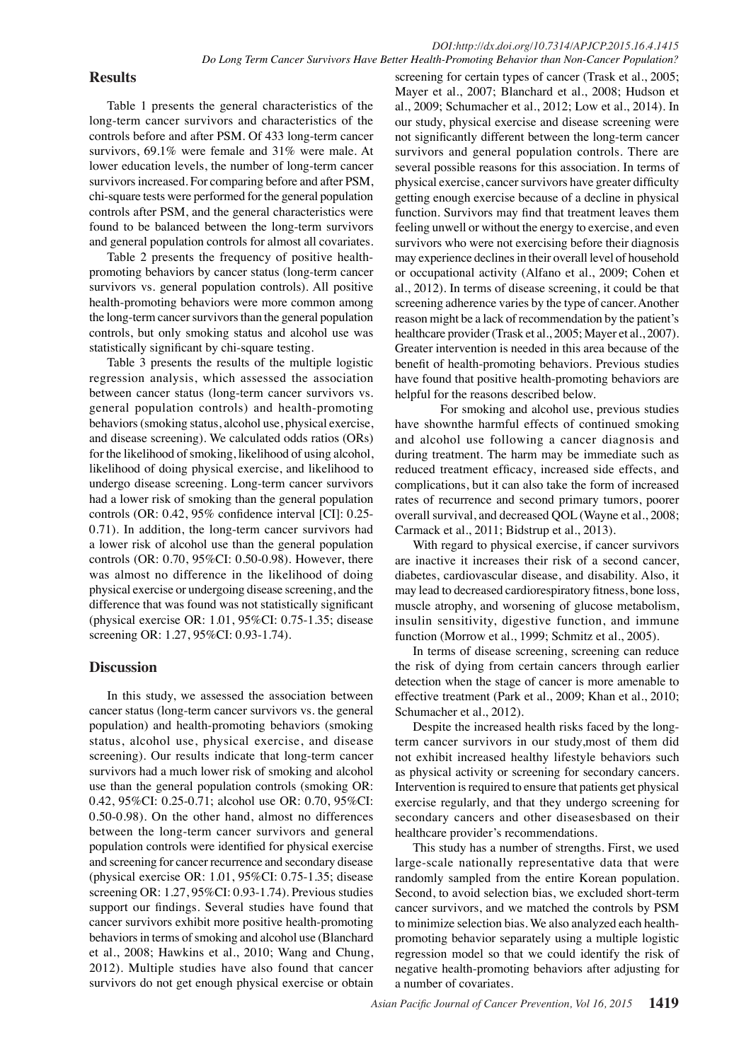# **Results**

Table 1 presents the general characteristics of the long-term cancer survivors and characteristics of the controls before and after PSM. Of 433 long-term cancer survivors, 69.1% were female and 31% were male. At lower education levels, the number of long-term cancer survivors increased. For comparing before and after PSM, chi-square tests were performed for the general population controls after PSM, and the general characteristics were found to be balanced between the long-term survivors and general population controls for almost all covariates.

Table 2 presents the frequency of positive healthpromoting behaviors by cancer status (long-term cancer survivors vs. general population controls). All positive health-promoting behaviors were more common among the long-term cancer survivors than the general population controls, but only smoking status and alcohol use was statistically significant by chi-square testing.

Table 3 presents the results of the multiple logistic regression analysis, which assessed the association between cancer status (long-term cancer survivors vs. general population controls) and health-promoting behaviors (smoking status, alcohol use, physical exercise, and disease screening). We calculated odds ratios (ORs) for the likelihood of smoking, likelihood of using alcohol, likelihood of doing physical exercise, and likelihood to undergo disease screening. Long-term cancer survivors had a lower risk of smoking than the general population controls (OR: 0.42, 95% confidence interval [CI]: 0.25- 0.71). In addition, the long-term cancer survivors had a lower risk of alcohol use than the general population controls (OR: 0.70, 95%CI: 0.50-0.98). However, there was almost no difference in the likelihood of doing physical exercise or undergoing disease screening, and the difference that was found was not statistically significant (physical exercise OR: 1.01, 95%CI: 0.75-1.35; disease screening OR: 1.27, 95%CI: 0.93-1.74).

# **Discussion**

In this study, we assessed the association between cancer status (long-term cancer survivors vs. the general population) and health-promoting behaviors (smoking status, alcohol use, physical exercise, and disease screening). Our results indicate that long-term cancer survivors had a much lower risk of smoking and alcohol use than the general population controls (smoking OR: 0.42, 95%CI: 0.25-0.71; alcohol use OR: 0.70, 95%CI: 0.50-0.98). On the other hand, almost no differences between the long-term cancer survivors and general population controls were identified for physical exercise and screening for cancer recurrence and secondary disease (physical exercise OR: 1.01, 95%CI: 0.75-1.35; disease screening OR: 1.27, 95%CI: 0.93-1.74). Previous studies support our findings. Several studies have found that cancer survivors exhibit more positive health-promoting behaviors in terms of smoking and alcohol use (Blanchard et al., 2008; Hawkins et al., 2010; Wang and Chung, 2012). Multiple studies have also found that cancer survivors do not get enough physical exercise or obtain

screening for certain types of cancer (Trask et al., 2005; Mayer et al., 2007; Blanchard et al., 2008; Hudson et al., 2009; Schumacher et al., 2012; Low et al., 2014). In our study, physical exercise and disease screening were not significantly different between the long-term cancer survivors and general population controls. There are several possible reasons for this association. In terms of physical exercise, cancer survivors have greater difficulty getting enough exercise because of a decline in physical function. Survivors may find that treatment leaves them feeling unwell or without the energy to exercise, and even survivors who were not exercising before their diagnosis may experience declines in their overall level of household or occupational activity (Alfano et al., 2009; Cohen et al., 2012). In terms of disease screening, it could be that screening adherence varies by the type of cancer. Another reason might be a lack of recommendation by the patient's healthcare provider (Trask et al., 2005; Mayer et al., 2007). Greater intervention is needed in this area because of the benefit of health-promoting behaviors. Previous studies have found that positive health-promoting behaviors are helpful for the reasons described below.

For smoking and alcohol use, previous studies have shownthe harmful effects of continued smoking and alcohol use following a cancer diagnosis and during treatment. The harm may be immediate such as reduced treatment efficacy, increased side effects, and complications, but it can also take the form of increased rates of recurrence and second primary tumors, poorer overall survival, and decreased QOL (Wayne et al., 2008; Carmack et al., 2011; Bidstrup et al., 2013).

With regard to physical exercise, if cancer survivors are inactive it increases their risk of a second cancer, diabetes, cardiovascular disease, and disability. Also, it may lead to decreased cardiorespiratory fitness, bone loss, muscle atrophy, and worsening of glucose metabolism, insulin sensitivity, digestive function, and immune function (Morrow et al., 1999; Schmitz et al., 2005).

In terms of disease screening, screening can reduce the risk of dying from certain cancers through earlier detection when the stage of cancer is more amenable to effective treatment (Park et al., 2009; Khan et al., 2010; Schumacher et al., 2012).

Despite the increased health risks faced by the longterm cancer survivors in our study,most of them did not exhibit increased healthy lifestyle behaviors such as physical activity or screening for secondary cancers. Intervention is required to ensure that patients get physical exercise regularly, and that they undergo screening for secondary cancers and other diseasesbased on their healthcare provider's recommendations.

This study has a number of strengths. First, we used large-scale nationally representative data that were randomly sampled from the entire Korean population. Second, to avoid selection bias, we excluded short-term cancer survivors, and we matched the controls by PSM to minimize selection bias. We also analyzed each healthpromoting behavior separately using a multiple logistic regression model so that we could identify the risk of negative health-promoting behaviors after adjusting for a number of covariates.